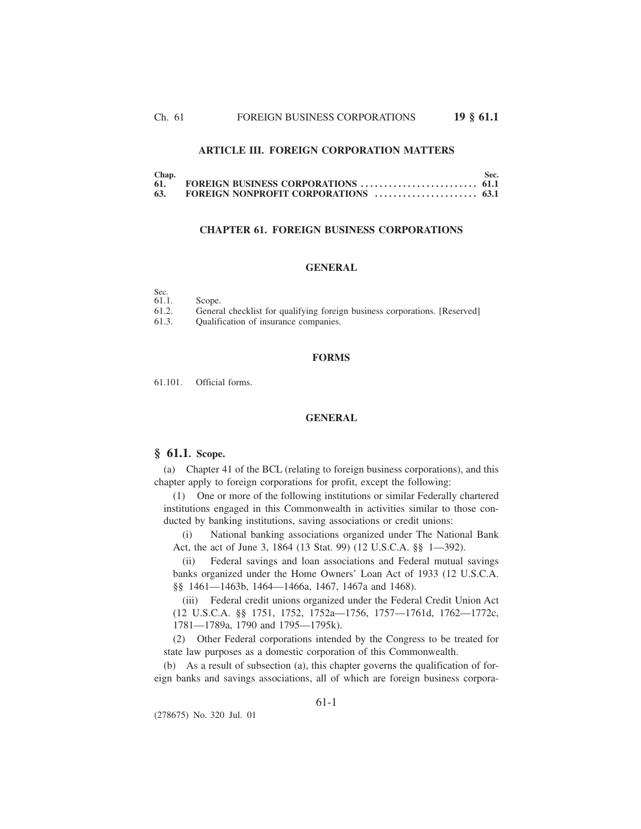### Ch. 61 FOREIGN BUSINESS CORPORATIONS **19 § 61.1**

# **ARTICLE III. FOREIGN CORPORATION MATTERS**

| Chap. | Sec. |
|-------|------|
| 61.   |      |
| 63.   |      |

# **CHAPTER 61. FOREIGN BUSINESS CORPORATIONS**

### **GENERAL**

Sec.

| 61.1. | Scope. |
|-------|--------|
| 61.2. | Genera |

General checklist for qualifying foreign business corporations. [Reserved]

61.3. Qualification of insurance companies.

# **FORMS**

61.101. Official forms.

### **GENERAL**

# **§ 61.1. Scope.**

(a) Chapter 41 of the BCL (relating to foreign business corporations), and this chapter apply to foreign corporations for profit, except the following:

(1) One or more of the following institutions or similar Federally chartered institutions engaged in this Commonwealth in activities similar to those conducted by banking institutions, saving associations or credit unions:

(i) National banking associations organized under The National Bank Act, the act of June 3, 1864 (13 Stat. 99) (12 U.S.C.A. §§ 1—392).

(ii) Federal savings and loan associations and Federal mutual savings banks organized under the Home Owners' Loan Act of 1933 (12 U.S.C.A. §§ 1461—1463b, 1464—1466a, 1467, 1467a and 1468).

(iii) Federal credit unions organized under the Federal Credit Union Act (12 U.S.C.A. §§ 1751, 1752, 1752a—1756, 1757—1761d, 1762—1772c, 1781—1789a, 1790 and 1795—1795k).

(2) Other Federal corporations intended by the Congress to be treated for state law purposes as a domestic corporation of this Commonwealth.

(b) As a result of subsection (a), this chapter governs the qualification of foreign banks and savings associations, all of which are foreign business corpora-

(278675) No. 320 Jul. 01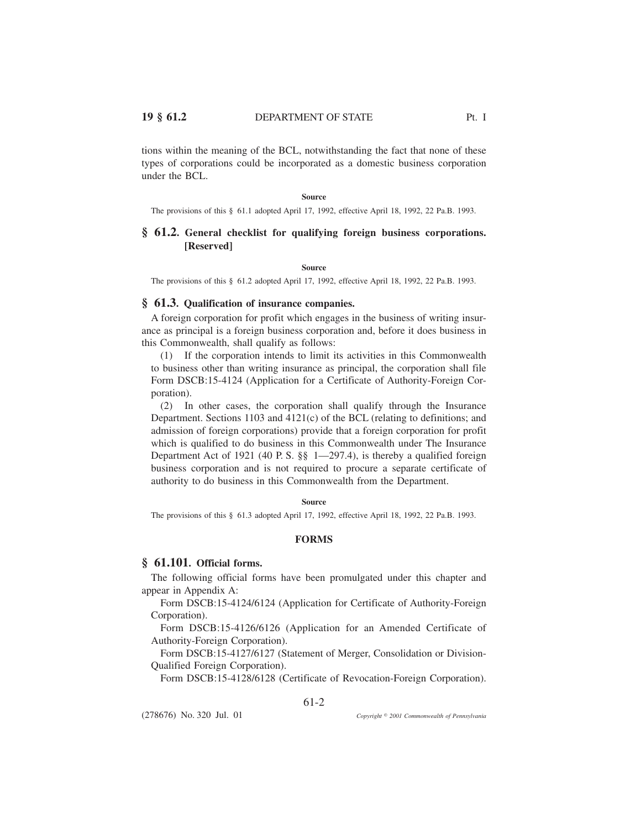tions within the meaning of the BCL, notwithstanding the fact that none of these types of corporations could be incorporated as a domestic business corporation under the BCL.

#### **Source**

The provisions of this § 61.1 adopted April 17, 1992, effective April 18, 1992, 22 Pa.B. 1993.

# **§ 61.2. General checklist for qualifying foreign business corporations. [Reserved]**

**Source**

The provisions of this § 61.2 adopted April 17, 1992, effective April 18, 1992, 22 Pa.B. 1993.

# **§ 61.3. Qualification of insurance companies.**

A foreign corporation for profit which engages in the business of writing insurance as principal is a foreign business corporation and, before it does business in this Commonwealth, shall qualify as follows:

(1) If the corporation intends to limit its activities in this Commonwealth to business other than writing insurance as principal, the corporation shall file Form DSCB:15-4124 (Application for a Certificate of Authority-Foreign Corporation).

(2) In other cases, the corporation shall qualify through the Insurance Department. Sections 1103 and 4121(c) of the BCL (relating to definitions; and admission of foreign corporations) provide that a foreign corporation for profit which is qualified to do business in this Commonwealth under The Insurance Department Act of 1921 (40 P. S. §§ 1—297.4), is thereby a qualified foreign business corporation and is not required to procure a separate certificate of authority to do business in this Commonwealth from the Department.

#### **Source**

The provisions of this § 61.3 adopted April 17, 1992, effective April 18, 1992, 22 Pa.B. 1993.

## **FORMS**

## **§ 61.101. Official forms.**

(278676) No. 320 Jul. 01

The following official forms have been promulgated under this chapter and appear in Appendix A:

Form DSCB:15-4124/6124 (Application for Certificate of Authority-Foreign Corporation).

Form DSCB:15-4126/6126 (Application for an Amended Certificate of Authority-Foreign Corporation).

Form DSCB:15-4127/6127 (Statement of Merger, Consolidation or Division-Qualified Foreign Corporation).

Form DSCB:15-4128/6128 (Certificate of Revocation-Foreign Corporation).

*2001 Commonwealth of Pennsylvania*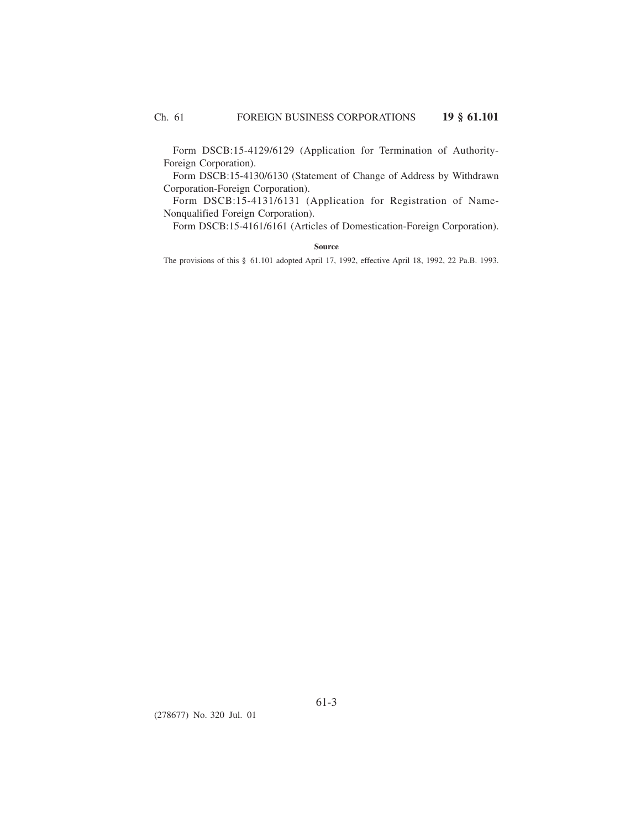Form DSCB:15-4129/6129 (Application for Termination of Authority-Foreign Corporation).

Form DSCB:15-4130/6130 (Statement of Change of Address by Withdrawn Corporation-Foreign Corporation).

Form DSCB:15-4131/6131 (Application for Registration of Name-Nonqualified Foreign Corporation).

Form DSCB:15-4161/6161 (Articles of Domestication-Foreign Corporation).

**Source**

The provisions of this § 61.101 adopted April 17, 1992, effective April 18, 1992, 22 Pa.B. 1993.

(278677) No. 320 Jul. 01

61-3